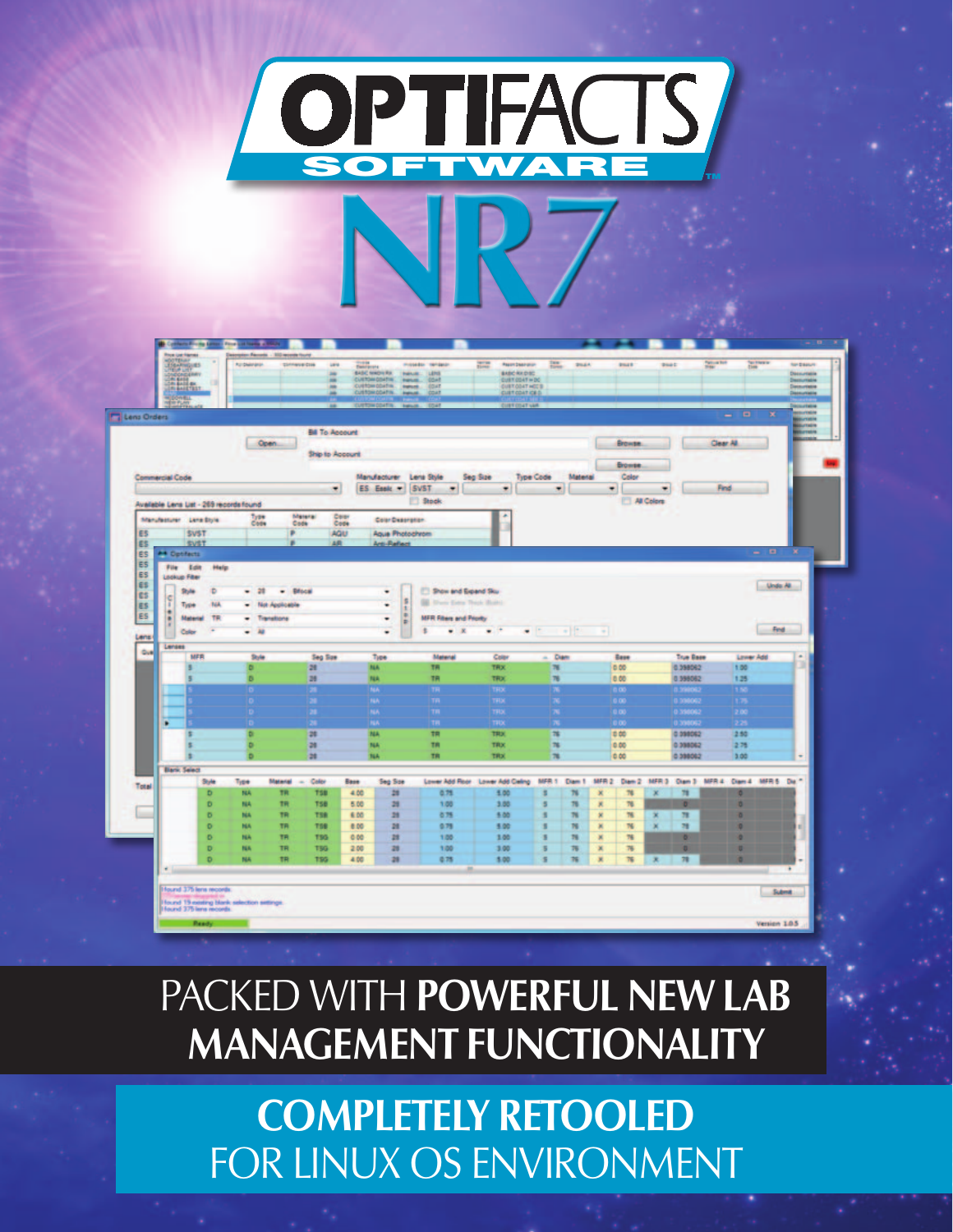

| Lens Orders                             |                                                                                                         |                                    |                        |                                  | <b>JETOM COATIN. Instrum.</b><br>1045     | <b>DISTINCTION</b>                            |              |                  |                        |                                              | $\blacksquare$<br>× |              |
|-----------------------------------------|---------------------------------------------------------------------------------------------------------|------------------------------------|------------------------|----------------------------------|-------------------------------------------|-----------------------------------------------|--------------|------------------|------------------------|----------------------------------------------|---------------------|--------------|
|                                         |                                                                                                         |                                    |                        |                                  |                                           |                                               |              |                  |                        |                                              | -                   | <b>Table</b> |
|                                         |                                                                                                         | Open.                              | <b>Bill To Account</b> |                                  |                                           |                                               |              |                  | <b>Browse</b>          |                                              | Clear AB            |              |
|                                         |                                                                                                         |                                    | Ship to Account        |                                  |                                           |                                               |              |                  |                        |                                              |                     |              |
| <b>Commercial Code</b>                  |                                                                                                         |                                    |                        | Manufacturer                     | Lena Style                                | Seg Size<br><b>Type Code</b>                  |              | Material         | <b>Browse</b><br>Color |                                              |                     |              |
|                                         |                                                                                                         |                                    | ٠                      | ES Essic -                       | <b>SVST</b><br>٠                          | ٠                                             | ۰            |                  | ٠                      | ٠                                            | <b>Find</b>         |              |
|                                         | Available Lans List - 269 records found                                                                 |                                    |                        |                                  | <b>Stock</b>                              |                                               |              |                  |                        | All Colors                                   |                     |              |
|                                         | Manufacturer Lane Blyle                                                                                 | Type<br>Code                       | Materal<br>Code        | Copy<br>Color Desoration<br>Code |                                           |                                               |              |                  |                        |                                              |                     |              |
| E5                                      | <b>SVST</b>                                                                                             |                                    | ×                      | AQU<br><b>Agua Photochrom</b>    |                                           |                                               |              |                  |                        |                                              |                     |              |
| ES.                                     | <b>SVST</b>                                                                                             |                                    | AR-<br>٠               | <b>Arti-Reflect</b>              |                                           |                                               |              |                  |                        |                                              | $-10$               | ×            |
| <b>ES</b><br><b>A4 Optifacts</b><br>ES. | File Edit                                                                                               |                                    |                        |                                  |                                           |                                               |              |                  |                        |                                              |                     |              |
| ES                                      | Help<br><b>Litchcop Filter</b>                                                                          |                                    |                        |                                  |                                           |                                               |              |                  |                        |                                              |                     |              |
| ES-<br><b>CS</b>                        | D<br>Style.                                                                                             | $-21$                              | $-$ <i>Brocal</i>      | ٠                                | <b>El Show and Expand Sku</b>             |                                               |              | Under All        |                        |                                              |                     |              |
| F<br>ES.                                | <b>TGA</b><br>Type                                                                                      | - Not Applicable                   |                        | ۰                                | 车<br><b>BE There Extra Thick Build</b>    |                                               |              |                  |                        |                                              |                     |              |
| ٠<br>ES<br>٠                            | TR<br>Material                                                                                          | - Transitions                      |                        | ٠                                | ×<br><b>MFR Filters and Priority</b><br>Þ |                                               |              |                  |                        |                                              |                     |              |
| Lens                                    | $\frac{1}{2}$<br>٠<br>$\bullet$<br>$-14$<br>ŧ<br>$\mathbb{R}$<br>$\bullet$<br>٠<br>$\sim$<br>Color<br>۰ |                                    |                        |                                  |                                           |                                               |              |                  |                        |                                              |                     | Find         |
| <b>Gut</b>                              | Lenses                                                                                                  |                                    |                        |                                  |                                           |                                               |              |                  |                        |                                              |                     |              |
|                                         | MFR                                                                                                     | Style                              | Seg Size               | Tupe<br><b>NA</b>                | Material<br>TR.                           | Color                                         | Diam<br>÷    |                  | Base                   | <b>True Base</b>                             | <b>Lewer Add</b>    | $\sim$       |
|                                         |                                                                                                         | D<br>D.                            | m<br>28                | <b>NA</b>                        | <b>TR</b>                                 | <b>TRIX</b><br>TROC                           | Ħ<br>饰       |                  | 0.00<br>0.00           | 0.298062<br>0.998062                         | 1.00<br>125         |              |
|                                         |                                                                                                         | ъ                                  | ж                      | <b>NA</b>                        | TR                                        | TRX                                           | ×            |                  | a as                   | <b>B. STARDIEZ</b>                           | 1.50                |              |
|                                         |                                                                                                         |                                    |                        | <b>BLA</b>                       | m                                         | TFIX                                          | x            |                  | 0.00                   | 0.336062                                     | 1.75                |              |
|                                         |                                                                                                         | ь                                  |                        | NA                               | TR                                        | TRIX                                          | ж            |                  | 0.00                   | 0.398062                                     | 2.00                |              |
| ٠                                       |                                                                                                         | D.                                 | 28                     | <b>NA</b><br>NA                  | TR<br>TR                                  | TRIX<br><b>TRIX</b>                           | 推            |                  | 0.00<br>0.00           | 0.398062<br>0.098062                         | 226<br>2.50         |              |
|                                         |                                                                                                         | ۰                                  | 28                     | <b>NA</b>                        | TR                                        | TRUC                                          | n            |                  | 0.00                   | 0.398062                                     | 275                 |              |
|                                         |                                                                                                         | D                                  | 28                     | <b>NA</b>                        | TR                                        | TRIX                                          | $\mathbf{u}$ |                  | 0.00                   | 0.398062                                     | 3.00                |              |
|                                         | <b>Bark Select</b>                                                                                      |                                    |                        |                                  |                                           |                                               |              |                  |                        |                                              |                     |              |
| Total                                   | Style.                                                                                                  | Material<br>Type                   | Color<br>$\sim$        | <b>Base</b><br>Sep Soe           |                                           | Lower Add Root: Lower Add Celing MFR 1 Diam 1 |              |                  |                        | MFR2: Dam 2 MFR3 Dam 3 MFR4: Dam 4 MFR5 Da." |                     |              |
|                                         | D<br>Ð                                                                                                  | TR<br><b>NA</b><br>TR<br><b>NA</b> | <b>TSB</b><br>TSB      | 28<br>4.00<br>甜<br>5.00          | 0.75<br>1.00                              | 5.00<br>3.00                                  |              | N<br>×<br>推<br>其 | 76<br>76               | m<br>٠<br>ö                                  |                     |              |
|                                         | <b>D</b>                                                                                                | TR<br><b>NA</b>                    | TSR                    | 28<br>6.00                       | 875                                       | 5.00                                          |              | m<br>×           | m                      | $\overline{\phantom{a}}$<br>×                |                     |              |
|                                         | $\circ$                                                                                                 | TR.<br><b>NA</b>                   | <b>TSB</b>             | m<br>0.00                        | 079                                       | 5.00                                          |              | N<br>×           | 76                     | m                                            |                     |              |
|                                         | $\circ$                                                                                                 | TR.<br><b>NA</b>                   | 195                    | 28<br>0.00                       | 1.00                                      | 1.00                                          |              | 誰<br>×           | 76                     | ۰                                            |                     |              |
|                                         |                                                                                                         | <b>TR</b><br><b>NA</b>             | 199                    | 28<br>2.00                       | 1.00                                      | 3.00<br>5.00                                  |              | 茜<br>×           | 76<br>T6               | D.<br>m                                      |                     |              |
|                                         | D                                                                                                       |                                    |                        |                                  |                                           |                                               | s            | 葃<br>×           |                        | ×                                            |                     |              |
| ٠                                       | D                                                                                                       | NA<br>TR.                          | 156                    | 28<br>4.00                       | 0.75                                      |                                               |              |                  |                        |                                              |                     | ٠            |

## PACKED WITH **POWERFUL NEW LAB MANAGEMENT FUNCTIONALITY**

**COMPLETELY RETOOLED** FOR LINUX OS ENVIRONMENT